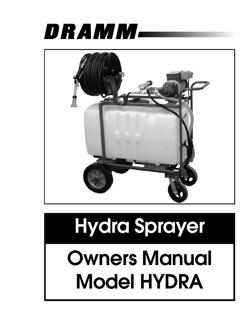



# **Hydra Sprayer**

**Owners Manual Model HYDRA**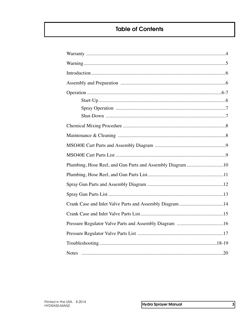# **Table of Contents**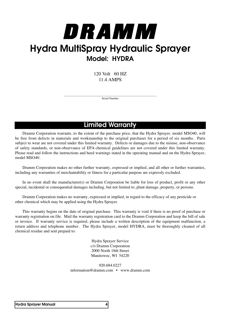# DRAMM **Hydra MultiSpray Hydraulic Sprayer Model: HYDRA**

120 Volt 60 HZ 11.4 AMPS

\_\_\_\_\_\_\_\_\_\_\_\_\_\_\_\_\_\_\_\_\_\_\_\_\_\_\_\_\_\_\_\_\_\_\_\_\_\_\_\_\_\_\_\_\_\_\_\_\_\_\_\_\_\_\_\_\_\_\_\_\_\_\_\_\_ Serial Number

# **Limited Warranty**

 Dramm Corporation warrants, to the extent of the purchase price, that the Hydra Sprayer, model MSO40, will be free from defects in materials and workmanship to the original purchaser for a period of six months. Parts subject to wear are not covered under this limited warranty. Defects or damages due to the misuse, non-observance of safety standards, or non-observance of EPA chemical guidelines are not covered under this limited warranty. Please read and follow the instructions and heed warnings stated in the operating manual and on the Hydra Sprayer, model MSO40.

 Dramm Corporation makes no other further warranty, expressed or implied, and all other or further warranties, including any warranties of merchantability or fitness for a particular purpose are expressly excluded.

 In no event shall the manufacturer(s) or Dramm Corporation be liable for loss of product, profit or any other special, incidental or consequential damages including, but not limited to, plant damage, property, or persons.

 Dramm Corporation makes no warranty, expressed or implied, in regard to the efficacy of any pesticide or other chemical which may be applied using the Hydra Sprayer.

 This warranty begins on the date of original purchase. This warranty is void if there is no proof of purchase or warranty registration on file. Mail the warranty registration card to the Dramm Corporation and keep the bill of sale or invoice. If warranty service is required, please include a written description of the equipment malfunction, a return address and telephone number. The Hydra Sprayer, model HYDRA, must be thoroughly cleaned of all chemical residue and sent prepaid to:

> Hydra Sprayer Service c/o Dramm Corporation 2000 North 18th Street Manitowoc, WI 54220

920.684.0227 information@dramm.com • www.dramm.com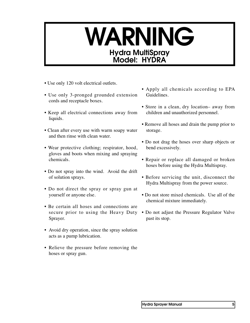# WARNING **Hyd ra M ultiS p ray Model: HYDRA**

- Use only 120 volt electrical outlets.
- Use only 3-pronged grounded extension cords and receptacle boxes.
- Keep all electrical connections away from liquids.
- Clean after every use with warm soapy water and then rinse with clean water.
- Wear protective clothing; respirator, hood, gloves and boots when mixing and spraying chemicals.
- Do not spray into the wind. Avoid the drift of solution sprays.
- Do not direct the spray or spray gun at yourself or anyone else.
- Be certain all hoses and connections are secure prior to using the Heavy Duty Sprayer.
- Avoid dry operation, since the spray solution acts as a pump lubrication.
- Relieve the pressure before removing the hoses or spray gun.
- Apply all chemicals according to EPA Guidelines.
- Store in a clean, dry location– away from children and unauthorized personnel.
- Remove all hoses and drain the pump prior to storage.
- Do not drag the hoses over sharp objects or bend excessively.
- Repair or replace all damaged or broken hoses before using the Hydra Multispray.
- Before servicing the unit, disconnect the Hydra Multispray from the power source.
- Do not store mixed chemicals. Use all of the chemical mixture immediately.
- Do not adjust the Pressure Regulator Valve past its stop.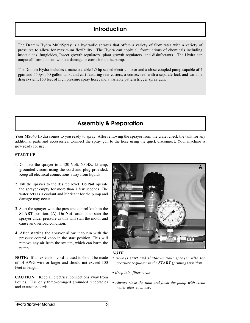### **Introduction**

The Dramm Hydra MultiSpray is a hydraulic sprayer that offers a variety of flow rates with a variety of pressures to allow for maximum flexibility. The Hydra can apply all formulations of chemicals including insecticides, fungicides, Insect growth regulators, plant growth regulators, and disinfectants. The Hydra can output all formulations without damage or corrosion to the pump.

The Dramm Hydra includes a maneuverable 1.5 hp sealed electric motor and a close-coupled pump capable of 4 gpm and 550psi, 50 gallon tank, and cart featuring rear casters, a convex reel with a separate lock and variable drag system, 150 feet of high pressure spray hose, and a variable pattern trigger spray gun.

### **Assembly & Preparation**

Your MS040 Hydra comes to you ready to spray. After removing the sprayer from the crate, check the tank for any additional parts and accessories. Connect the spray gun to the hose using the quick disconnect. Your machine is now ready for use.

#### **START UP**

- 1. Connect the sprayer to a 120 Volt, 60 HZ, 15 amp, grounded circuit using the cord and plug provided. Keep all electrical connections away from liquids.
- 2. Fill the sprayer to the desired level. **Do Not** operate the sprayer empty for more than a few seconds. The water acts as a coolant and lubricant for the pump and damage may occur.
- 3. Start the sprayer with the pressure control knob in the **START** position. (A). **Do Not** attempt to start the sprayer under pressure as this will stall the motor and cause an overload condition.
- 4. After starting the sprayer allow it to run with the pressure control knob in the start position. This will remove any air from the system, which can harm the pump.

**NOTE:** If an extension cord is used it should be made of 14 AWG wire or larger and should not exceed 100 Feet in length.

**CAUTION:** Keep all electrical connections away from liquids. Use only three–pronged grounded receptacles and extension cords.



#### *NOTE*

- *• Always start and shutdown your sprayer with the pressure regulator in the START (priming) position.*
- *• Keep inlet filter clean.*
- *• Always rinse the tank and flush the pump with clean water after each use.*

#### **Hydra Sprayer Manual 6**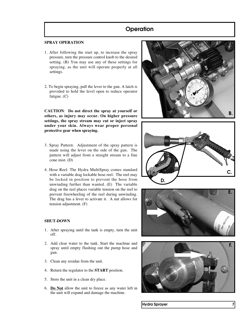# **Operation**

#### **SPRAY OPERATION**

- 1. After following the start up, to increase the spray pressure, turn the pressure control knob to the desired setting. (B) You may use any of these settings for spraying, as the unit will operate properly at all settings.
- 2. To begin spraying, pull the lever to the gun. A latch is provided to hold the level open to reduce operator fatigue. (C)

**CAUTION**: **Do not direct the spray at yourself or others, as injury may occur. On higher pressure settings, the spray stream may cut or inject spray under your skin. Always wear proper personal protective gear when spraying.**

- 3. Spray Pattern: Adjustment of the spray pattern is made using the lever on the side of the gun. The pattern will adjust from a straight stream to a fine cone mist. (D)
- 4. Hose Reel: The Hydra MultiSpray comes standard with a variable drag lockable hose reel. The reel may be locked in position to prevent the hose from unwinding further than wanted. (E) The variable drag on the reel places variable tension on the reel to prevent freewheeling of the reel during unwinding. The drag has a lever to activate it. A nut allows for tension adjustment. (F)

#### **SHUT-DOWN**

- 1. After spraying until the tank is empty, turn the unit off.
- 2. Add clear water to the tank. Start the machine and spray until empty flushing out the pump hose and gun.
- 3. Clean any residue from the unit.
- 4. Return the regulator to the **START** position.
- 5. Store the unit in a clean dry place.
- 6. **Do Not** allow the unit to freeze as any water left in the unit will expand and damage the machine.









**Hydra Sprayer 7**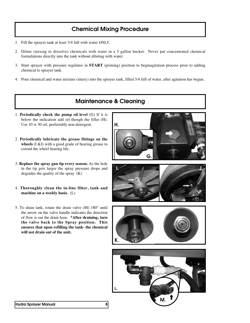# **Chemical Mixing Procedure**

- 1. Fill the sprayer tank at least 3/4 full with water *ONLY*.
- 2. Dilute (mixing to dissolve) chemicals with water in a 5 gallon bucket. Never put concentrated chemical formulations directly into the tank without diluting with water.
- 3. Start sprayer with pressure regulator in **START** (priming) position to beginagitation process prior to adding chemical to sprayer tank.
- 4. Pour chemical and water mixture (slurry) into the sprayer tank, filled 3/4 full of water, after agitation has begun.

# **Maintenance & Cleaning**

- 1. **Periodically check the pump oil level** (G) If it is below the indication add oil though the filler (H). Use 10 w 30 oil, preferrably non-detergent.
- 2. **Periodically lubricate the grease fittings on the wheels** (I &J) with a good grade of bearing grease to extend the wheel bearing life.
- 3. **Replace the spray gun tip every season.** As the hole in the tip gets larger the spray pressure drops and degrades the quality of the spray. (K)
- 4. **Thoroughly clean the in-line filter, tank and machine on a weekly basis.** (L)
- 5. To drain tank, rotate the drain valve (M) 180° until the arrow on the valve handle indicates the direction of flow is out the drain hose. **\*After draining, turn the valve back to the Spray position. This ensures that upon refilling the tank- the chemical will not drain out of the unit.**







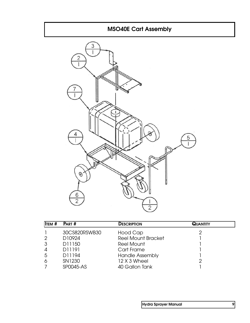# **MSO40E Cart Assembly**  $\overline{3}$ Ī  $\overline{2}$ Ī  $\mathbf{I}$ 4 5 I Ï 0

 $\frac{6}{2}$ 

| <b>ITEM #</b> | PART #        | <b>DESCRIPTION</b>        | <b>QUANTITY</b> |
|---------------|---------------|---------------------------|-----------------|
|               | 30CS820RSWB30 | Hood Cap                  |                 |
| 2             | D10924        | <b>Reel Mount Bracket</b> |                 |
| 3             | D11150        | <b>Reel Mount</b>         |                 |
| 4             | D11191        | Cart Frame                |                 |
| 5             | D11194        | <b>Handle Assembly</b>    |                 |
| 6             | SN1230        | 12 X 3 Wheel              |                 |
|               | SP0045-AS     | 40 Gallon Tank            |                 |

 $\overline{2}$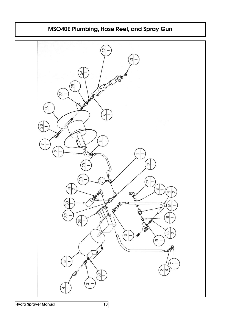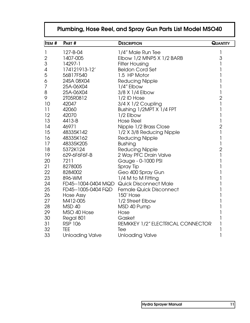|               | Plumbing, Hose Reel, and Spray Gun Parts List Model MSO40 |                                           |                 |  |  |
|---------------|-----------------------------------------------------------|-------------------------------------------|-----------------|--|--|
| <b>ITEM #</b> | PART #                                                    | <b>DESCRIPTION</b>                        | <b>QUANTITY</b> |  |  |
| $\mathbf{I}$  | 127-B-04                                                  | 1/4" Male Run Tee                         | 1               |  |  |
| $\sqrt{2}$    | 1407-005                                                  | Elbow 1/2 MNP5 X 1/2 BARB                 | $\mathfrak 3$   |  |  |
| 3             | 14297-1                                                   | <b>Filter Housing</b>                     | 1               |  |  |
| 4             | 174121913-12'                                             | <b>Beldon Cord Set</b>                    |                 |  |  |
| 5             | 56B17F540                                                 | 1.5 HP Motor                              |                 |  |  |
| 6             | 24SA 08X04                                                | <b>Reducing Nipple</b>                    |                 |  |  |
| 7             | 25A-06X04                                                 | 1/4" Elbow                                |                 |  |  |
| 8             | 25A-06X04                                                 | 3/8 X 1/4 Elbow                           | 1               |  |  |
| 9             | 2T05R0812                                                 | 1/2 ID Hose                               | $\overline{2}$  |  |  |
| 10            | 42047                                                     | 3/4 X 1/2 Coupling                        | 1               |  |  |
| 11            | 42060                                                     | Bushing 1/2MPT X 1/4 FPT                  | 1               |  |  |
| 12            | 42070                                                     | 1/2 Elbow                                 | 1               |  |  |
| 13            | 4413-B                                                    | <b>Hose Reel</b>                          | 1               |  |  |
| 14            | 46971                                                     | Nipple 1/2 Brass Close                    | $\overline{2}$  |  |  |
| 15            | 48335K142                                                 | 1/2 X 3/8 Reducing Nipple                 | 1               |  |  |
| 16            | 48335K162                                                 | <b>Reducing Nipple</b>                    | 1               |  |  |
| 17            | 48335K205                                                 | <b>Bushing</b>                            | 1               |  |  |
| 18            | 5372K124                                                  | <b>Reducing Nipple</b>                    | $\overline{2}$  |  |  |
| 19            | 629-6F6F6F-B                                              | 2 Way PFC Drain Valve                     | 1               |  |  |
| 20            | 7211                                                      | Gauge - 0-1000 PSI                        |                 |  |  |
| 21            | 8278005                                                   | Spray Tip                                 |                 |  |  |
| 22            | 8284002                                                   | Geo 400 Spray Gun                         |                 |  |  |
| 23            | 896-WM                                                    | 1/4 M to M Fitting                        |                 |  |  |
| 24            |                                                           | FD45--1004-0404 MQD Quick Disconnect Male |                 |  |  |
| 25            | FD45--1005-0404 FQD                                       | <b>Female Quick Disconnect</b>            |                 |  |  |
| 26            | Hose Assy                                                 | 150' Hose                                 |                 |  |  |
| 27            | M412-005                                                  | 1/2 Street Elbow                          |                 |  |  |
| 28            | MSD 40                                                    | MSD 40 Pump                               |                 |  |  |
| 29            | MSO 40 Hose                                               | Hose                                      |                 |  |  |
| 30            | Regal 801                                                 | Gasket                                    |                 |  |  |
| 31            | <b>RSP 106</b>                                            | REMKKEY 1/2" ELECTRICAL CONNECTOR         |                 |  |  |
| 32            | <b>TEE</b>                                                | Tee                                       |                 |  |  |
| 33            | <b>Unloading Valve</b>                                    | <b>Unloading Valve</b>                    | 1               |  |  |

# **Plumbing, Hose Reel, and Spray Gun Parts List Model MSO40**

Г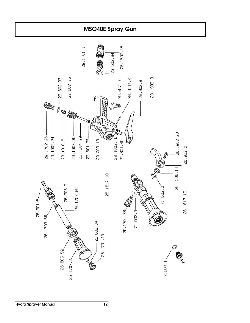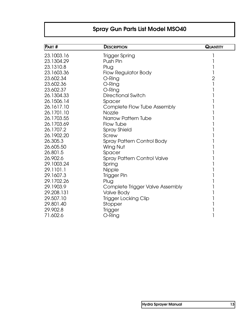# **Spray Gun Parts List Model MSO40**

| <b>PART#</b> | <b>DESCRIPTION</b>                 | <b>QUANTITY</b> |
|--------------|------------------------------------|-----------------|
| 23.1003.16   | <b>Trigger Spring</b>              |                 |
| 23.1304.29   | Push Pin                           |                 |
| 23.1310.8    | Plug                               |                 |
| 23.1603.36   | <b>Flow Regulator Body</b>         |                 |
| 23.602.34    | O-Ring                             | $\overline{2}$  |
| 23.602.36    | O-Ring                             |                 |
| 23.602.37    | O-Ring                             |                 |
| 26.1304.33   | <b>Directional Switch</b>          |                 |
| 26.1506.14   | Spacer                             |                 |
| 26.1617.10   | <b>Complete Flow Tube Assembly</b> |                 |
| 26.1701.10   | <b>Nozzle</b>                      |                 |
| 26.1703.55   | Narrow Pattern Tube                |                 |
| 26.1703.69   | Flow Tube                          |                 |
| 26.1707.2    | <b>Spray Shield</b>                |                 |
| 26.1902.20   | Screw                              |                 |
| 26.305.3     | <b>Spray Pattern Control Body</b>  |                 |
| 26.605.50    | Wing Nut                           |                 |
| 26.801.5     | Spacer                             |                 |
| 26.902.6     | <b>Spray Pattern Control Valve</b> |                 |
| 29.1003.24   | Spring                             |                 |
| 29.1101.1    | <b>Nipple</b>                      |                 |
| 29.1607.3    | Trigger Pin                        |                 |
| 29.1702.26   | Plug                               |                 |
| 29.1903.9    | Complete Trigger Valve Assembly    |                 |
| 29.208.131   | <b>Valve Body</b>                  |                 |
| 29.507.10    | <b>Trigger Locking Clip</b>        |                 |
| 29.801.40    | Stopper                            |                 |
| 29.902.8     | <b>Trigger</b>                     |                 |
| 71.602.6     | O-Ring                             |                 |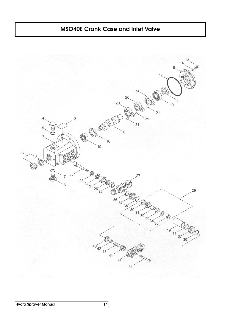# **MSO40E Crank Case and Inlet Valve**

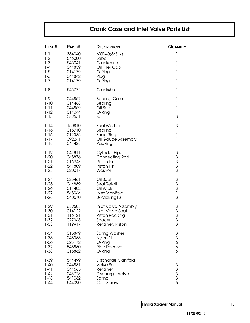# **Crank Case and Inlet Valve Parts List**

| <b>ITEM #</b>    | <b>PART #</b>    | <b>DESCRIPTION</b>          | <b>QUANTITY</b>                              |  |
|------------------|------------------|-----------------------------|----------------------------------------------|--|
| $1 - 1$<br>$1-2$ | 354040<br>546000 | MSD40(5/8IN)<br>Label       | 1<br>1                                       |  |
| $1 - 3$          | 546041           | Crankcase                   | 1                                            |  |
| $1 - 4$          | 044839           | Oil Filler Cap              | 1                                            |  |
| $1-5$            | 014179           | O-Ring                      | 1                                            |  |
| $1-6$            | 044842           | Plug                        | 1                                            |  |
| $1 - 7$          | 014179           | O-Ring                      | 1                                            |  |
| $1 - 8$          | 546772           | Crankshaft                  | 1                                            |  |
| $1-9$            | 044857           | <b>Bearing Case</b>         | 1                                            |  |
| $1 - 10$         | 014488           | Bearing                     | 1                                            |  |
| $1 - 11$         | 044859           | OII Seal                    | 1                                            |  |
| $1-12$           | 014044           | O-Ring                      | 1                                            |  |
| $1 - 13$         | 089551           | <b>Bolt</b>                 | 3                                            |  |
| $1 - 14$         | 150810           | Seal Washer                 | $\ensuremath{\mathsf{3}}$                    |  |
| $1 - 15$         | 015710           | Bearing                     | 1                                            |  |
| $1 - 16$         | 012385           | Snap Ring                   | 1                                            |  |
| $1 - 17$         | 092241           | Oil Gauge Assembly          | 1                                            |  |
| $1 - 18$         | 044428           | Packing                     | 1                                            |  |
| $1 - 19$         | 541811           | <b>Cylinder Pipe</b>        | $\sqrt{3}$                                   |  |
| $1-20$           | 045876           | Connecting Rod              |                                              |  |
| $1-21$           | 016948           | Piston Pin                  | $\begin{array}{c} 3 \\ 3 \\ 3 \end{array}$   |  |
| $1-22$           | 541809           | Piston Pin                  |                                              |  |
| $1 - 23$         | 020017           | Washer                      | 3                                            |  |
| $1 - 24$         | 025461           | Oil Seal                    | $\ensuremath{\mathsf{3}}$                    |  |
| $1 - 25$         | 044869           | <b>Seal Retail</b>          | 3                                            |  |
| $1-26$           | 011402           | Oil Wick                    | 3                                            |  |
| $1-27$           | 545944           | <b>Inlet Manifold</b>       | 1                                            |  |
| $1-28$           | 540670           | U-Packing13                 | 3                                            |  |
| $1-29$           | 639503           | <b>Inlet Valve Assembly</b> | $\sqrt{3}$                                   |  |
| $1 - 30$         | 014122           | <b>Inlet Valve Seat</b>     | $\begin{array}{c} 3 \\ 3 \\ 3 \end{array}$   |  |
| $1 - 31$         | 116121           | Piston Packing              |                                              |  |
| $1 - 32$         | 027348           | Spacer                      |                                              |  |
| $1 - 33$         | 119917           | Retainer, Piston            | 3                                            |  |
| $1 - 34$         | 015849           | <b>Spring Washer</b>        | $\sqrt{3}$                                   |  |
| $1 - 35$         | 046365           | Nylon Nut                   | $\mathfrak{S}$                               |  |
| $1 - 36$         | 023172           | O-Ring                      | 6                                            |  |
| $1 - 37$         | 546860           | Pipe Receiver               | 6                                            |  |
| $1 - 38$         | 015862           | O-Ring                      | 6                                            |  |
| $1 - 39$         | 544499           | Discharge Manifold          | 1                                            |  |
| $1 - 40$         | 044881           | <b>Valve Seat</b>           |                                              |  |
| $1-41$           | 044565           | Retainer                    |                                              |  |
| $1-42$           | 043723           | Discharge Valve             | $\begin{array}{c}\n3 \\ 3 \\ 3\n\end{array}$ |  |
| $1 - 43$         | 541062           | Spring                      |                                              |  |
| $1 - 44$         | 544090           | Cap Screw                   | 6                                            |  |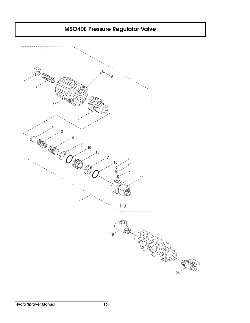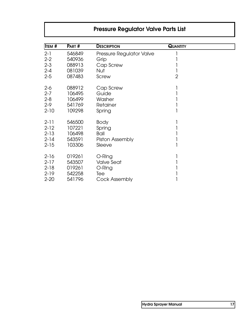# **Pressure Regulator Valve Parts List**

| <b>ITEM</b> # | PART#  | <b>DESCRIPTION</b>       | <b>QUANTITY</b> |  |
|---------------|--------|--------------------------|-----------------|--|
| $2 - 1$       | 546849 | Pressure Regulator Valve |                 |  |
| $2 - 2$       | 540936 | Grip                     |                 |  |
| $2 - 3$       | 088913 | Cap Screw                |                 |  |
| $2 - 4$       | 081039 | Nut                      |                 |  |
| $2 - 5$       | 087483 | Screw                    | $\overline{2}$  |  |
| $2-6$         | 088912 | Cap Screw                |                 |  |
| $2 - 7$       | 106495 | Guide                    |                 |  |
| $2 - 8$       | 106499 | Washer                   |                 |  |
| $2 - 9$       | 541769 | Retainer                 |                 |  |
| $2 - 10$      | 109298 | Spring                   |                 |  |
| $2 - 11$      | 546500 | <b>Body</b>              |                 |  |
| $2 - 12$      | 107221 | Spring                   |                 |  |
| $2 - 13$      | 106498 | Ball                     |                 |  |
| $2 - 14$      | 543591 | Piston Assembly          |                 |  |
| $2 - 15$      | 103306 | Sleeve                   |                 |  |
| $2 - 16$      | 019261 | O-Ring                   |                 |  |
| $2 - 17$      | 543507 | Valve Seat               |                 |  |
| $2 - 18$      | 019261 | O-Ring                   |                 |  |
| $2 - 19$      | 542258 | Tee                      |                 |  |
| $2 - 20$      | 541796 | <b>Cock Assembly</b>     |                 |  |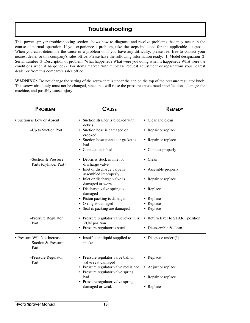### **Troubleshooting**

This power sprayer troubleshooting section shows how to diagnose and resolve problems that may occur in the course of normal operation. If you experience a problem, take the steps indicated for the applicable diagnosis. When you can't determine the cause of a problem or if you have any difficulty, please feel free to contact your nearest dealer or this company's sales office. Please have the following information ready: 1. Model designation 2. Serial number 3. Description of problem (What happened? What were you doing when it happened? What were the conditions when it happened?) For items marked with \*, please request adjustment or repair from your nearest dealer or from this company's sales office.

**WARNING:** Do not change the setting of the screw that is under the cap on the top of the pressure regulator knob. This screw absolutely must not be changed, since that will raise the pressure above rated specifications, damage the machine, and possibly cause injury.

| <b>PROBLEM</b>                                              | Cause                                                                                            | <b>REMEDY</b>                    |
|-------------------------------------------------------------|--------------------------------------------------------------------------------------------------|----------------------------------|
| • Suction is Low or Absent                                  | • Suction strainer is blocked with<br>debris                                                     | • Clear and clean                |
| -Up to Suction Port                                         | • Suction hose is damaged or<br>crooked                                                          | • Repair or replace              |
|                                                             | • Suction hose connector gasket is<br>bad                                                        | • Repair or replace              |
|                                                             | • Connection is bad                                                                              | • Connect properly               |
| $-Suction &$ Pressure<br>Parts (Cylinder Part)              | • Debris is stuck in inlet or<br>discharge valve                                                 | • Clean                          |
|                                                             | • Inlet or discharge valve is<br>assembled improperly                                            | • Assemble properly              |
|                                                             | • Inlet or discharge valve is<br>damaged or worn                                                 | • Repair or replace              |
|                                                             | • Discharge valve spring is<br>damaged                                                           | • Replace                        |
|                                                             | • Piston packing is damaged                                                                      | • Replace                        |
|                                                             | • O-ring is damaged                                                                              | • Replace                        |
|                                                             | • Seal & packing are damaged                                                                     | • Replace                        |
| -Pressure Regulator<br>Part                                 | • Pressure regulator valve lever in is<br><b>RUN</b> position                                    | • Return lever to START position |
|                                                             | • Pressure regulator is stuck                                                                    | • Disassemble & clean            |
| • Pressure Will Not Increase<br>-Suction & Pressure<br>Part | • Insufficient liquid supplied to<br>intake                                                      | • Diagnose under $(1)$           |
| -Pressure Regulator<br>Part                                 | • Pressure regulator valve ball or                                                               | • Replace                        |
|                                                             | valve seat damaged<br>• Pressure regulator valve rod is bad<br>• Pressure regulator valve spring | • Adjust or replace              |
|                                                             | bad                                                                                              | • Repair or replace              |
|                                                             | • Pressure regulator valve spring is                                                             |                                  |
|                                                             | damaged or weak                                                                                  | • Replace                        |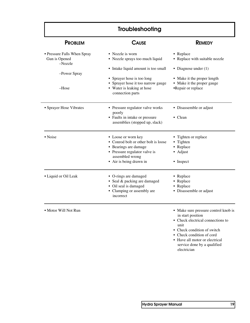| Troubleshooting                                         |                                                                                                                                                                     |                                                                                 |
|---------------------------------------------------------|---------------------------------------------------------------------------------------------------------------------------------------------------------------------|---------------------------------------------------------------------------------|
| <b>PROBLEM</b>                                          | <b>CAUSE</b>                                                                                                                                                        | <b>REMEDY</b>                                                                   |
| • Pressure Falls When Spray<br>Gun is Opened<br>-Nozzle | • Nozzle is worn<br>• Nozzle sprays too much liquid                                                                                                                 | • Replace<br>• Replace with suitable nozzle                                     |
| -Power Spray                                            | • Intake liquid amount is too small                                                                                                                                 | • Diagnose under $(1)$                                                          |
| $-Hose$                                                 | • Sprayer hose is too long<br>• Sprayer hose it too narrow gauge<br>• Water is leaking at hose<br>connection parts                                                  | • Make it the proper length<br>• Make it the proper gauge<br>•Repair or replace |
| • Sprayer Hose Vibrates                                 | • Pressure regulator valve works<br>poorly<br>• Faults in intake or pressure<br>assemblies (stopped up, slack)                                                      | • Disassemble or adjust<br>• Clean                                              |
| • Noise                                                 | • Loose or worn key<br>• Conrod bolt or other bolt is loose<br>• Bearings are damage<br>• Pressure regulator valve is<br>assembled wrong<br>• Air is being drawn in | • Tighten or replace<br>• Tighten<br>• Replace<br>• Adjust<br>• Inspect         |
| • Liquid or Oil Leak                                    | • O-rings are damaged<br>• Seal & packing are damaged<br>• Oil seal is damaged<br>• Clamping or assembly are<br>incorrect                                           | • Replace<br>• Replace<br>• Replace<br>• Disassemble or adjust                  |
| • Motor Will Not Run                                    |                                                                                                                                                                     | • Make sure pressure control knob is                                            |

 $\overline{a}$ 

- in start position
- Check electrical connections to unit
- Check condition of switch
- Check condition of cord
- Have all motor or electrical service done by a qualified electrician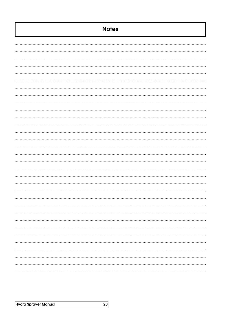| <b>Notes</b> |
|--------------|
|              |
|              |
|              |
|              |
|              |
|              |
|              |
|              |
|              |
|              |
|              |
|              |
|              |
|              |
|              |
|              |
|              |
|              |